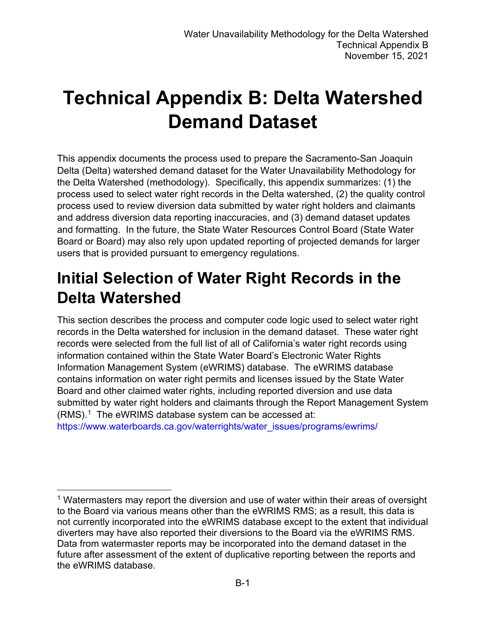# **Technical Appendix B: Delta Watershed Demand Dataset**

This appendix documents the process used to prepare the Sacramento-San Joaquin Delta (Delta) watershed demand dataset for the Water Unavailability Methodology for the Delta Watershed (methodology). Specifically, this appendix summarizes: (1) the process used to select water right records in the Delta watershed, (2) the quality control process used to review diversion data submitted by water right holders and claimants and address diversion data reporting inaccuracies, and (3) demand dataset updates and formatting. In the future, the State Water Resources Control Board (State Water Board or Board) may also rely upon updated reporting of projected demands for larger users that is provided pursuant to emergency regulations.

## **Initial Selection of Water Right Records in the Delta Watershed**

This section describes the process and computer code logic used to select water right records in the Delta watershed for inclusion in the demand dataset. These water right records were selected from the full list of all of California's water right records using information contained within the State Water Board's Electronic Water Rights Information Management System (eWRIMS) database. The eWRIMS database contains information on water right permits and licenses issued by the State Water Board and other claimed water rights, including reported diversion and use data submitted by water right holders and claimants through the Report Management System (RMS). [1](#page-0-0) The eWRIMS database system can be accessed at:

[https://www.waterboards.ca.gov/waterrights/water\\_issues/programs/ewrims/](https://www.waterboards.ca.gov/waterrights/water_issues/programs/ewrims/)

<span id="page-0-0"></span><sup>&</sup>lt;sup>1</sup> Watermasters may report the diversion and use of water within their areas of oversight to the Board via various means other than the eWRIMS RMS; as a result, this data is not currently incorporated into the eWRIMS database except to the extent that individual diverters may have also reported their diversions to the Board via the eWRIMS RMS. Data from watermaster reports may be incorporated into the demand dataset in the future after assessment of the extent of duplicative reporting between the reports and the eWRIMS database.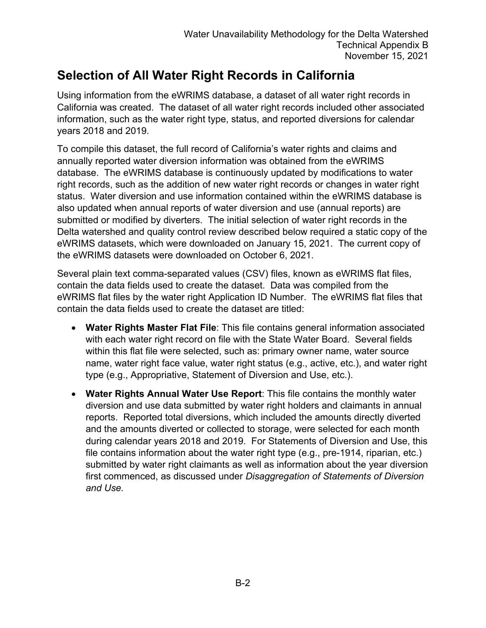## **Selection of All Water Right Records in California**

Using information from the eWRIMS database, a dataset of all water right records in California was created. The dataset of all water right records included other associated information, such as the water right type, status, and reported diversions for calendar years 2018 and 2019.

To compile this dataset, the full record of California's water rights and claims and annually reported water diversion information was obtained from the eWRIMS database. The eWRIMS database is continuously updated by modifications to water right records, such as the addition of new water right records or changes in water right status. Water diversion and use information contained within the eWRIMS database is also updated when annual reports of water diversion and use (annual reports) are submitted or modified by diverters. The initial selection of water right records in the Delta watershed and quality control review described below required a static copy of the eWRIMS datasets, which were downloaded on January 15, 2021. The current copy of the eWRIMS datasets were downloaded on October 6, 2021.

Several plain text comma-separated values (CSV) files, known as eWRIMS flat files, contain the data fields used to create the dataset. Data was compiled from the eWRIMS flat files by the water right Application ID Number. The eWRIMS flat files that contain the data fields used to create the dataset are titled:

- **Water Rights Master Flat File**: This file contains general information associated with each water right record on file with the State Water Board. Several fields within this flat file were selected, such as: primary owner name, water source name, water right face value, water right status (e.g., active, etc.), and water right type (e.g., Appropriative, Statement of Diversion and Use, etc.).
- **Water Rights Annual Water Use Report**: This file contains the monthly water diversion and use data submitted by water right holders and claimants in annual reports. Reported total diversions, which included the amounts directly diverted and the amounts diverted or collected to storage, were selected for each month during calendar years 2018 and 2019. For Statements of Diversion and Use, this file contains information about the water right type (e.g., pre-1914, riparian, etc.) submitted by water right claimants as well as information about the year diversion first commenced, as discussed under *Disaggregation of Statements of Diversion and Use.*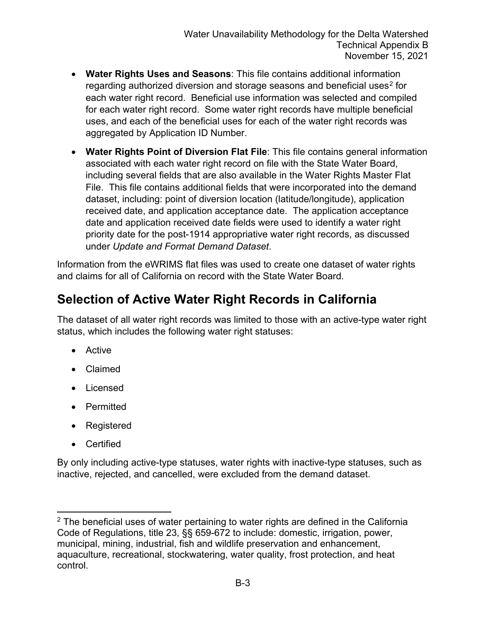- **Water Rights Uses and Seasons**: This file contains additional information regarding authorized diversion and storage seasons and beneficial uses<sup>[2](#page-2-0)</sup> for each water right record. Beneficial use information was selected and compiled for each water right record. Some water right records have multiple beneficial uses, and each of the beneficial uses for each of the water right records was aggregated by Application ID Number.
- **Water Rights Point of Diversion Flat File**: This file contains general information associated with each water right record on file with the State Water Board, including several fields that are also available in the Water Rights Master Flat File. This file contains additional fields that were incorporated into the demand dataset, including: point of diversion location (latitude/longitude), application received date, and application acceptance date. The application acceptance date and application received date fields were used to identify a water right priority date for the post-1914 appropriative water right records, as discussed under *Update and Format Demand Dataset*.

Information from the eWRIMS flat files was used to create one dataset of water rights and claims for all of California on record with the State Water Board.

## **Selection of Active Water Right Records in California**

The dataset of all water right records was limited to those with an active-type water right status, which includes the following water right statuses:

- Active
- Claimed
- Licensed
- Permitted
- Registered
- Certified

By only including active-type statuses, water rights with inactive-type statuses, such as inactive, rejected, and cancelled, were excluded from the demand dataset.

<span id="page-2-0"></span> $2$  The beneficial uses of water pertaining to water rights are defined in the California Code of Regulations, title 23, §§ 659-672 to include: domestic, irrigation, power, municipal, mining, industrial, fish and wildlife preservation and enhancement, aquaculture, recreational, stockwatering, water quality, frost protection, and heat control.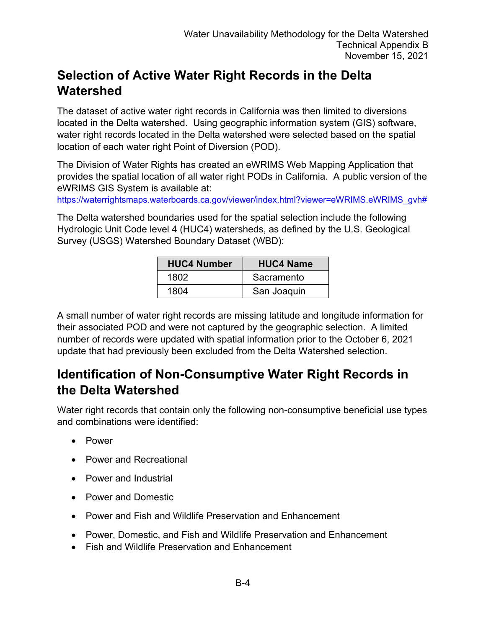#### **Selection of Active Water Right Records in the Delta Watershed**

The dataset of active water right records in California was then limited to diversions located in the Delta watershed. Using geographic information system (GIS) software, water right records located in the Delta watershed were selected based on the spatial location of each water right Point of Diversion (POD).

The Division of Water Rights has created an eWRIMS Web Mapping Application that provides the spatial location of all water right PODs in California. A public version of the eWRIMS GIS System is available at:

[https://waterrightsmaps.waterboards.ca.gov/viewer/index.html?viewer=eWRIMS.eWRIMS\\_gvh#](https://waterrightsmaps.waterboards.ca.gov/viewer/index.html?viewer=eWRIMS.eWRIMS_gvh)

The Delta watershed boundaries used for the spatial selection include the following Hydrologic Unit Code level 4 (HUC4) watersheds, as defined by the U.S. Geological Survey (USGS) Watershed Boundary Dataset (WBD):

| <b>HUC4 Number</b> | <b>HUC4 Name</b> |
|--------------------|------------------|
| 1802               | Sacramento       |
| 1804               | San Joaquin      |

A small number of water right records are missing latitude and longitude information for their associated POD and were not captured by the geographic selection. A limited number of records were updated with spatial information prior to the October 6, 2021 update that had previously been excluded from the Delta Watershed selection.

#### **Identification of Non-Consumptive Water Right Records in the Delta Watershed**

Water right records that contain only the following non-consumptive beneficial use types and combinations were identified:

- Power
- Power and Recreational
- Power and Industrial
- Power and Domestic
- Power and Fish and Wildlife Preservation and Enhancement
- Power, Domestic, and Fish and Wildlife Preservation and Enhancement
- Fish and Wildlife Preservation and Enhancement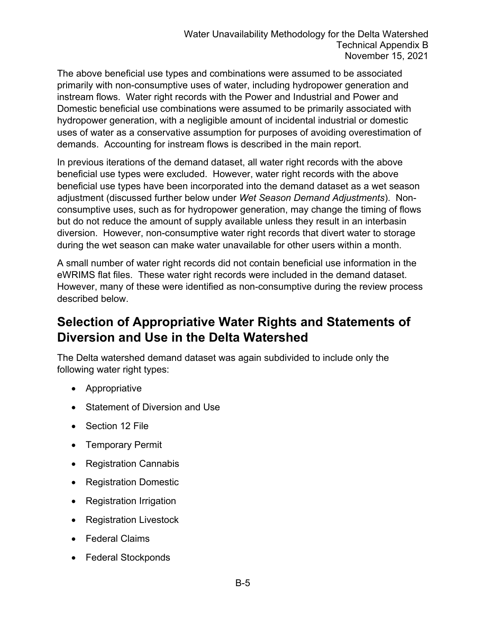The above beneficial use types and combinations were assumed to be associated primarily with non-consumptive uses of water, including hydropower generation and instream flows. Water right records with the Power and Industrial and Power and Domestic beneficial use combinations were assumed to be primarily associated with hydropower generation, with a negligible amount of incidental industrial or domestic uses of water as a conservative assumption for purposes of avoiding overestimation of demands. Accounting for instream flows is described in the main report.

In previous iterations of the demand dataset, all water right records with the above beneficial use types were excluded. However, water right records with the above beneficial use types have been incorporated into the demand dataset as a wet season adjustment (discussed further below under *Wet Season Demand Adjustments*). Nonconsumptive uses, such as for hydropower generation, may change the timing of flows but do not reduce the amount of supply available unless they result in an interbasin diversion. However, non-consumptive water right records that divert water to storage during the wet season can make water unavailable for other users within a month.

A small number of water right records did not contain beneficial use information in the eWRIMS flat files. These water right records were included in the demand dataset. However, many of these were identified as non-consumptive during the review process described below.

## **Selection of Appropriative Water Rights and Statements of Diversion and Use in the Delta Watershed**

The Delta watershed demand dataset was again subdivided to include only the following water right types:

- Appropriative
- Statement of Diversion and Use
- Section 12 File
- Temporary Permit
- Registration Cannabis
- Registration Domestic
- Registration Irrigation
- Registration Livestock
- Federal Claims
- Federal Stockponds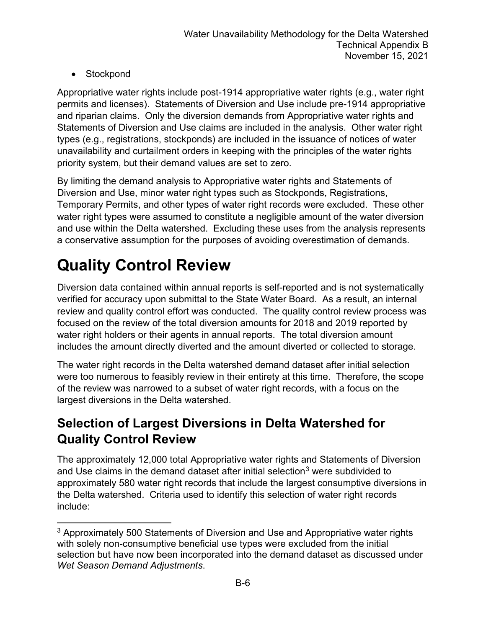• Stockpond

Appropriative water rights include post-1914 appropriative water rights (e.g., water right permits and licenses). Statements of Diversion and Use include pre-1914 appropriative and riparian claims. Only the diversion demands from Appropriative water rights and Statements of Diversion and Use claims are included in the analysis. Other water right types (e.g., registrations, stockponds) are included in the issuance of notices of water unavailability and curtailment orders in keeping with the principles of the water rights priority system, but their demand values are set to zero.

By limiting the demand analysis to Appropriative water rights and Statements of Diversion and Use, minor water right types such as Stockponds, Registrations, Temporary Permits, and other types of water right records were excluded. These other water right types were assumed to constitute a negligible amount of the water diversion and use within the Delta watershed. Excluding these uses from the analysis represents a conservative assumption for the purposes of avoiding overestimation of demands.

## **Quality Control Review**

Diversion data contained within annual reports is self-reported and is not systematically verified for accuracy upon submittal to the State Water Board. As a result, an internal review and quality control effort was conducted. The quality control review process was focused on the review of the total diversion amounts for 2018 and 2019 reported by water right holders or their agents in annual reports. The total diversion amount includes the amount directly diverted and the amount diverted or collected to storage.

The water right records in the Delta watershed demand dataset after initial selection were too numerous to feasibly review in their entirety at this time. Therefore, the scope of the review was narrowed to a subset of water right records, with a focus on the largest diversions in the Delta watershed.

## **Selection of Largest Diversions in Delta Watershed for Quality Control Review**

The approximately 12,000 total Appropriative water rights and Statements of Diversion and Use claims in the demand dataset after initial selection<sup>[3](#page-5-0)</sup> were subdivided to approximately 580 water right records that include the largest consumptive diversions in the Delta watershed. Criteria used to identify this selection of water right records include:

<span id="page-5-0"></span><sup>&</sup>lt;sup>3</sup> Approximately 500 Statements of Diversion and Use and Appropriative water rights with solely non-consumptive beneficial use types were excluded from the initial selection but have now been incorporated into the demand dataset as discussed under *Wet Season Demand Adjustments*.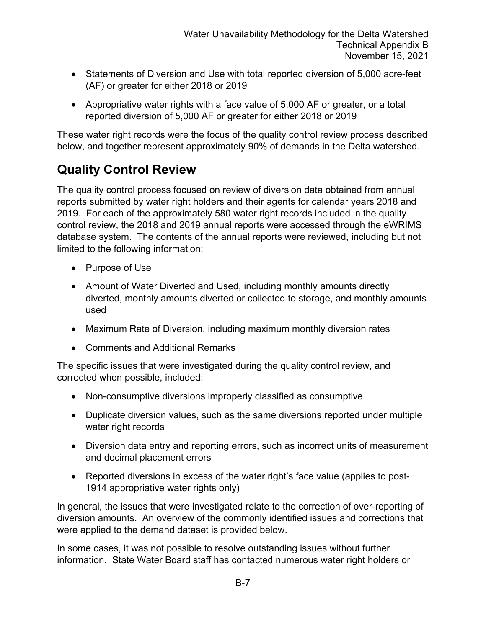- Statements of Diversion and Use with total reported diversion of 5,000 acre-feet (AF) or greater for either 2018 or 2019
- Appropriative water rights with a face value of 5,000 AF or greater, or a total reported diversion of 5,000 AF or greater for either 2018 or 2019

These water right records were the focus of the quality control review process described below, and together represent approximately 90% of demands in the Delta watershed.

#### **Quality Control Review**

The quality control process focused on review of diversion data obtained from annual reports submitted by water right holders and their agents for calendar years 2018 and 2019. For each of the approximately 580 water right records included in the quality control review, the 2018 and 2019 annual reports were accessed through the eWRIMS database system. The contents of the annual reports were reviewed, including but not limited to the following information:

- Purpose of Use
- Amount of Water Diverted and Used, including monthly amounts directly diverted, monthly amounts diverted or collected to storage, and monthly amounts used
- Maximum Rate of Diversion, including maximum monthly diversion rates
- Comments and Additional Remarks

The specific issues that were investigated during the quality control review, and corrected when possible, included:

- Non-consumptive diversions improperly classified as consumptive
- Duplicate diversion values, such as the same diversions reported under multiple water right records
- Diversion data entry and reporting errors, such as incorrect units of measurement and decimal placement errors
- Reported diversions in excess of the water right's face value (applies to post-1914 appropriative water rights only)

In general, the issues that were investigated relate to the correction of over-reporting of diversion amounts. An overview of the commonly identified issues and corrections that were applied to the demand dataset is provided below.

In some cases, it was not possible to resolve outstanding issues without further information. State Water Board staff has contacted numerous water right holders or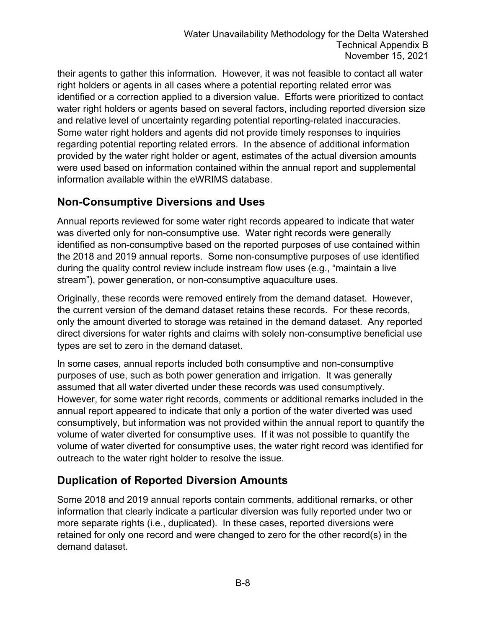their agents to gather this information. However, it was not feasible to contact all water right holders or agents in all cases where a potential reporting related error was identified or a correction applied to a diversion value. Efforts were prioritized to contact water right holders or agents based on several factors, including reported diversion size and relative level of uncertainty regarding potential reporting-related inaccuracies. Some water right holders and agents did not provide timely responses to inquiries regarding potential reporting related errors. In the absence of additional information provided by the water right holder or agent, estimates of the actual diversion amounts were used based on information contained within the annual report and supplemental information available within the eWRIMS database.

#### **Non-Consumptive Diversions and Uses**

Annual reports reviewed for some water right records appeared to indicate that water was diverted only for non-consumptive use. Water right records were generally identified as non-consumptive based on the reported purposes of use contained within the 2018 and 2019 annual reports. Some non-consumptive purposes of use identified during the quality control review include instream flow uses (e.g., "maintain a live stream"), power generation, or non-consumptive aquaculture uses.

Originally, these records were removed entirely from the demand dataset. However, the current version of the demand dataset retains these records. For these records, only the amount diverted to storage was retained in the demand dataset. Any reported direct diversions for water rights and claims with solely non-consumptive beneficial use types are set to zero in the demand dataset.

In some cases, annual reports included both consumptive and non-consumptive purposes of use, such as both power generation and irrigation. It was generally assumed that all water diverted under these records was used consumptively. However, for some water right records, comments or additional remarks included in the annual report appeared to indicate that only a portion of the water diverted was used consumptively, but information was not provided within the annual report to quantify the volume of water diverted for consumptive uses. If it was not possible to quantify the volume of water diverted for consumptive uses, the water right record was identified for outreach to the water right holder to resolve the issue.

#### **Duplication of Reported Diversion Amounts**

Some 2018 and 2019 annual reports contain comments, additional remarks, or other information that clearly indicate a particular diversion was fully reported under two or more separate rights (i.e., duplicated). In these cases, reported diversions were retained for only one record and were changed to zero for the other record(s) in the demand dataset.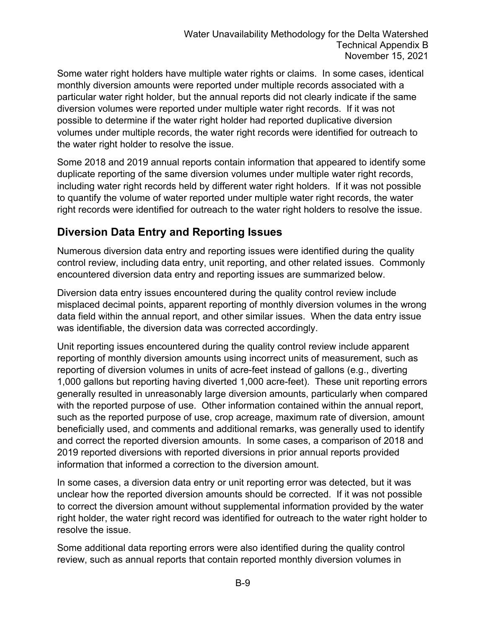Some water right holders have multiple water rights or claims. In some cases, identical monthly diversion amounts were reported under multiple records associated with a particular water right holder, but the annual reports did not clearly indicate if the same diversion volumes were reported under multiple water right records. If it was not possible to determine if the water right holder had reported duplicative diversion volumes under multiple records, the water right records were identified for outreach to the water right holder to resolve the issue.

Some 2018 and 2019 annual reports contain information that appeared to identify some duplicate reporting of the same diversion volumes under multiple water right records, including water right records held by different water right holders. If it was not possible to quantify the volume of water reported under multiple water right records, the water right records were identified for outreach to the water right holders to resolve the issue.

#### **Diversion Data Entry and Reporting Issues**

Numerous diversion data entry and reporting issues were identified during the quality control review, including data entry, unit reporting, and other related issues. Commonly encountered diversion data entry and reporting issues are summarized below.

Diversion data entry issues encountered during the quality control review include misplaced decimal points, apparent reporting of monthly diversion volumes in the wrong data field within the annual report, and other similar issues. When the data entry issue was identifiable, the diversion data was corrected accordingly.

Unit reporting issues encountered during the quality control review include apparent reporting of monthly diversion amounts using incorrect units of measurement, such as reporting of diversion volumes in units of acre-feet instead of gallons (e.g., diverting 1,000 gallons but reporting having diverted 1,000 acre-feet). These unit reporting errors generally resulted in unreasonably large diversion amounts, particularly when compared with the reported purpose of use. Other information contained within the annual report, such as the reported purpose of use, crop acreage, maximum rate of diversion, amount beneficially used, and comments and additional remarks, was generally used to identify and correct the reported diversion amounts. In some cases, a comparison of 2018 and 2019 reported diversions with reported diversions in prior annual reports provided information that informed a correction to the diversion amount.

In some cases, a diversion data entry or unit reporting error was detected, but it was unclear how the reported diversion amounts should be corrected. If it was not possible to correct the diversion amount without supplemental information provided by the water right holder, the water right record was identified for outreach to the water right holder to resolve the issue.

Some additional data reporting errors were also identified during the quality control review, such as annual reports that contain reported monthly diversion volumes in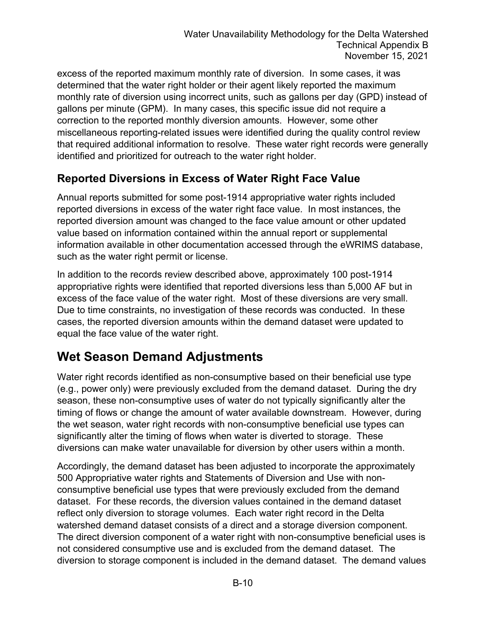excess of the reported maximum monthly rate of diversion. In some cases, it was determined that the water right holder or their agent likely reported the maximum monthly rate of diversion using incorrect units, such as gallons per day (GPD) instead of gallons per minute (GPM). In many cases, this specific issue did not require a correction to the reported monthly diversion amounts. However, some other miscellaneous reporting-related issues were identified during the quality control review that required additional information to resolve. These water right records were generally identified and prioritized for outreach to the water right holder.

#### **Reported Diversions in Excess of Water Right Face Value**

Annual reports submitted for some post-1914 appropriative water rights included reported diversions in excess of the water right face value. In most instances, the reported diversion amount was changed to the face value amount or other updated value based on information contained within the annual report or supplemental information available in other documentation accessed through the eWRIMS database, such as the water right permit or license.

In addition to the records review described above, approximately 100 post-1914 appropriative rights were identified that reported diversions less than 5,000 AF but in excess of the face value of the water right. Most of these diversions are very small. Due to time constraints, no investigation of these records was conducted. In these cases, the reported diversion amounts within the demand dataset were updated to equal the face value of the water right.

## **Wet Season Demand Adjustments**

Water right records identified as non-consumptive based on their beneficial use type (e.g., power only) were previously excluded from the demand dataset. During the dry season, these non-consumptive uses of water do not typically significantly alter the timing of flows or change the amount of water available downstream. However, during the wet season, water right records with non-consumptive beneficial use types can significantly alter the timing of flows when water is diverted to storage. These diversions can make water unavailable for diversion by other users within a month.

Accordingly, the demand dataset has been adjusted to incorporate the approximately 500 Appropriative water rights and Statements of Diversion and Use with nonconsumptive beneficial use types that were previously excluded from the demand dataset. For these records, the diversion values contained in the demand dataset reflect only diversion to storage volumes. Each water right record in the Delta watershed demand dataset consists of a direct and a storage diversion component. The direct diversion component of a water right with non-consumptive beneficial uses is not considered consumptive use and is excluded from the demand dataset. The diversion to storage component is included in the demand dataset. The demand values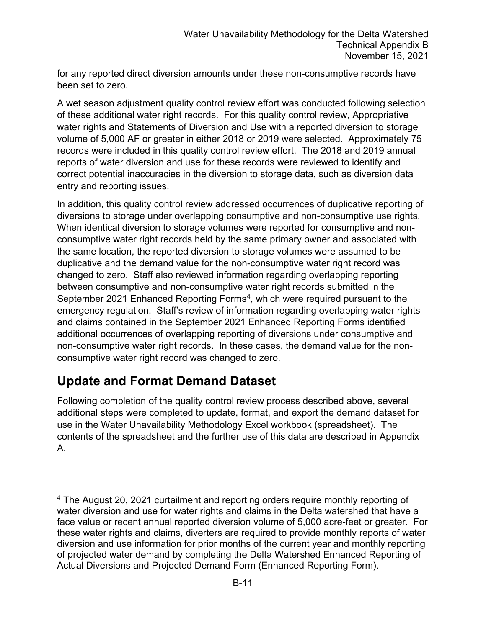for any reported direct diversion amounts under these non-consumptive records have been set to zero.

A wet season adjustment quality control review effort was conducted following selection of these additional water right records. For this quality control review, Appropriative water rights and Statements of Diversion and Use with a reported diversion to storage volume of 5,000 AF or greater in either 2018 or 2019 were selected. Approximately 75 records were included in this quality control review effort. The 2018 and 2019 annual reports of water diversion and use for these records were reviewed to identify and correct potential inaccuracies in the diversion to storage data, such as diversion data entry and reporting issues.

In addition, this quality control review addressed occurrences of duplicative reporting of diversions to storage under overlapping consumptive and non-consumptive use rights. When identical diversion to storage volumes were reported for consumptive and nonconsumptive water right records held by the same primary owner and associated with the same location, the reported diversion to storage volumes were assumed to be duplicative and the demand value for the non-consumptive water right record was changed to zero. Staff also reviewed information regarding overlapping reporting between consumptive and non-consumptive water right records submitted in the September 2021 Enhanced Reporting Forms<sup>4</sup>, which were required pursuant to the emergency regulation. Staff's review of information regarding overlapping water rights and claims contained in the September 2021 Enhanced Reporting Forms identified additional occurrences of overlapping reporting of diversions under consumptive and non-consumptive water right records. In these cases, the demand value for the nonconsumptive water right record was changed to zero.

#### **Update and Format Demand Dataset**

Following completion of the quality control review process described above, several additional steps were completed to update, format, and export the demand dataset for use in the Water Unavailability Methodology Excel workbook (spreadsheet). The contents of the spreadsheet and the further use of this data are described in Appendix A.

<span id="page-10-0"></span><sup>4</sup> The August 20, 2021 curtailment and reporting orders require monthly reporting of water diversion and use for water rights and claims in the Delta watershed that have a face value or recent annual reported diversion volume of 5,000 acre-feet or greater. For these water rights and claims, diverters are required to provide monthly reports of water diversion and use information for prior months of the current year and monthly reporting of projected water demand by completing the Delta Watershed Enhanced Reporting of Actual Diversions and Projected Demand Form (Enhanced Reporting Form).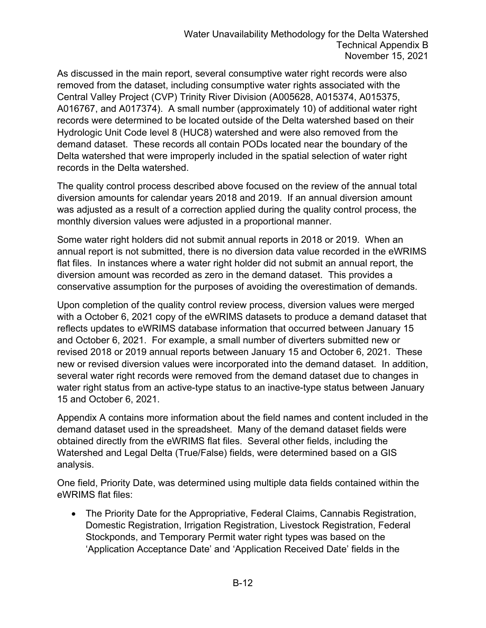As discussed in the main report, several consumptive water right records were also removed from the dataset, including consumptive water rights associated with the Central Valley Project (CVP) Trinity River Division (A005628, A015374, A015375, A016767, and A017374). A small number (approximately 10) of additional water right records were determined to be located outside of the Delta watershed based on their Hydrologic Unit Code level 8 (HUC8) watershed and were also removed from the demand dataset. These records all contain PODs located near the boundary of the Delta watershed that were improperly included in the spatial selection of water right records in the Delta watershed.

The quality control process described above focused on the review of the annual total diversion amounts for calendar years 2018 and 2019. If an annual diversion amount was adjusted as a result of a correction applied during the quality control process, the monthly diversion values were adjusted in a proportional manner.

Some water right holders did not submit annual reports in 2018 or 2019. When an annual report is not submitted, there is no diversion data value recorded in the eWRIMS flat files. In instances where a water right holder did not submit an annual report, the diversion amount was recorded as zero in the demand dataset. This provides a conservative assumption for the purposes of avoiding the overestimation of demands.

Upon completion of the quality control review process, diversion values were merged with a October 6, 2021 copy of the eWRIMS datasets to produce a demand dataset that reflects updates to eWRIMS database information that occurred between January 15 and October 6, 2021. For example, a small number of diverters submitted new or revised 2018 or 2019 annual reports between January 15 and October 6, 2021. These new or revised diversion values were incorporated into the demand dataset. In addition, several water right records were removed from the demand dataset due to changes in water right status from an active-type status to an inactive-type status between January 15 and October 6, 2021.

Appendix A contains more information about the field names and content included in the demand dataset used in the spreadsheet. Many of the demand dataset fields were obtained directly from the eWRIMS flat files. Several other fields, including the Watershed and Legal Delta (True/False) fields, were determined based on a GIS analysis.

One field, Priority Date, was determined using multiple data fields contained within the eWRIMS flat files:

• The Priority Date for the Appropriative, Federal Claims, Cannabis Registration, Domestic Registration, Irrigation Registration, Livestock Registration, Federal Stockponds, and Temporary Permit water right types was based on the 'Application Acceptance Date' and 'Application Received Date' fields in the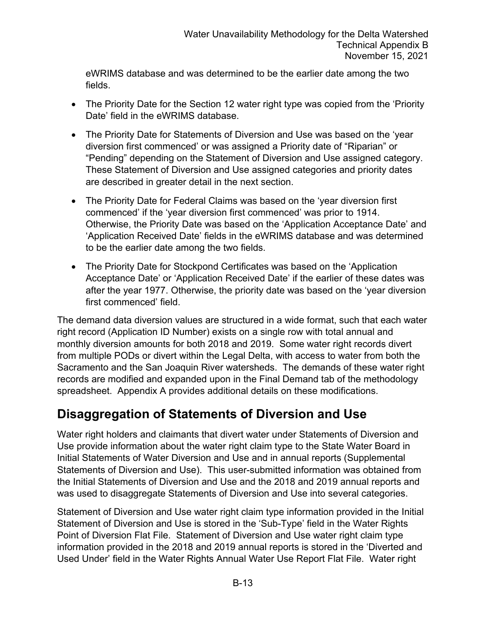eWRIMS database and was determined to be the earlier date among the two fields.

- The Priority Date for the Section 12 water right type was copied from the 'Priority Date' field in the eWRIMS database.
- The Priority Date for Statements of Diversion and Use was based on the 'year diversion first commenced' or was assigned a Priority date of "Riparian" or "Pending" depending on the Statement of Diversion and Use assigned category. These Statement of Diversion and Use assigned categories and priority dates are described in greater detail in the next section.
- The Priority Date for Federal Claims was based on the 'year diversion first commenced' if the 'year diversion first commenced' was prior to 1914. Otherwise, the Priority Date was based on the 'Application Acceptance Date' and 'Application Received Date' fields in the eWRIMS database and was determined to be the earlier date among the two fields.
- The Priority Date for Stockpond Certificates was based on the 'Application Acceptance Date' or 'Application Received Date' if the earlier of these dates was after the year 1977. Otherwise, the priority date was based on the 'year diversion first commenced' field

The demand data diversion values are structured in a wide format, such that each water right record (Application ID Number) exists on a single row with total annual and monthly diversion amounts for both 2018 and 2019. Some water right records divert from multiple PODs or divert within the Legal Delta, with access to water from both the Sacramento and the San Joaquin River watersheds. The demands of these water right records are modified and expanded upon in the Final Demand tab of the methodology spreadsheet. Appendix A provides additional details on these modifications.

## **Disaggregation of Statements of Diversion and Use**

Water right holders and claimants that divert water under Statements of Diversion and Use provide information about the water right claim type to the State Water Board in Initial Statements of Water Diversion and Use and in annual reports (Supplemental Statements of Diversion and Use). This user-submitted information was obtained from the Initial Statements of Diversion and Use and the 2018 and 2019 annual reports and was used to disaggregate Statements of Diversion and Use into several categories.

Statement of Diversion and Use water right claim type information provided in the Initial Statement of Diversion and Use is stored in the 'Sub-Type' field in the Water Rights Point of Diversion Flat File. Statement of Diversion and Use water right claim type information provided in the 2018 and 2019 annual reports is stored in the 'Diverted and Used Under' field in the Water Rights Annual Water Use Report Flat File. Water right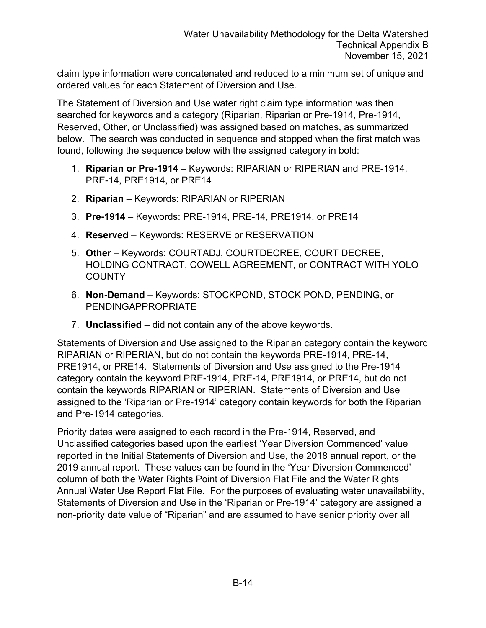claim type information were concatenated and reduced to a minimum set of unique and ordered values for each Statement of Diversion and Use.

The Statement of Diversion and Use water right claim type information was then searched for keywords and a category (Riparian, Riparian or Pre-1914, Pre-1914, Reserved, Other, or Unclassified) was assigned based on matches, as summarized below. The search was conducted in sequence and stopped when the first match was found, following the sequence below with the assigned category in bold:

- 1. **Riparian or Pre-1914** Keywords: RIPARIAN or RIPERIAN and PRE-1914, PRE-14, PRE1914, or PRE14
- 2. **Riparian**  Keywords: RIPARIAN or RIPERIAN
- 3. **Pre-1914** Keywords: PRE-1914, PRE-14, PRE1914, or PRE14
- 4. **Reserved** Keywords: RESERVE or RESERVATION
- 5. **Other**  Keywords: COURTADJ, COURTDECREE, COURT DECREE, HOLDING CONTRACT, COWELL AGREEMENT, or CONTRACT WITH YOLO **COUNTY**
- 6. **Non-Demand** Keywords: STOCKPOND, STOCK POND, PENDING, or PENDINGAPPROPRIATE
- 7. **Unclassified**  did not contain any of the above keywords.

Statements of Diversion and Use assigned to the Riparian category contain the keyword RIPARIAN or RIPERIAN, but do not contain the keywords PRE-1914, PRE-14, PRE1914, or PRE14. Statements of Diversion and Use assigned to the Pre-1914 category contain the keyword PRE-1914, PRE-14, PRE1914, or PRE14, but do not contain the keywords RIPARIAN or RIPERIAN. Statements of Diversion and Use assigned to the 'Riparian or Pre-1914' category contain keywords for both the Riparian and Pre-1914 categories.

Priority dates were assigned to each record in the Pre-1914, Reserved, and Unclassified categories based upon the earliest 'Year Diversion Commenced' value reported in the Initial Statements of Diversion and Use, the 2018 annual report, or the 2019 annual report. These values can be found in the 'Year Diversion Commenced' column of both the Water Rights Point of Diversion Flat File and the Water Rights Annual Water Use Report Flat File. For the purposes of evaluating water unavailability, Statements of Diversion and Use in the 'Riparian or Pre-1914' category are assigned a non-priority date value of "Riparian" and are assumed to have senior priority over all